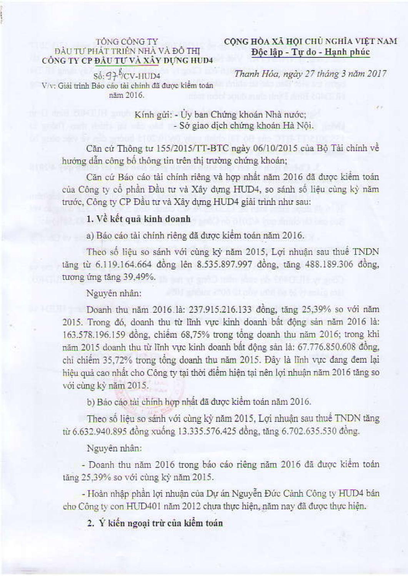### TÔNG CỒNG TY ĐẦU TƯ PHÁT TRIỂN NHÀ VÀ ĐỒ THI CÔNG TY CP ĐẦU TƯ VÀ XÂY DỰNG HUD4

# CÔNG HÒA XÃ HỘI CHỦ NGHĨA VIẾT NAM Độc lập - Tự do - Hạnh phúc

 $S_0$ : 97  $\sqrt[3]{\text{CV-HUD4}}$ V/v: Giải trình Báo cáo tài chỉnh đã được kiểm toán nām 2016.

Thanh Hóa, ngày 27 tháng 3 năm 2017

Kính gửi: - Ủy ban Chứng khoán Nhà nước; - Sở giao dịch chứng khoán Hà Nội.

Căn cử Thông tư 155/2015/TT-BTC ngày 06/10/2015 của Bộ Tài chính về hướng dẫn công bố thông tin trên thị trường chứng khoán;

Căn cứ Báo cáo tài chính riêng và hợp nhất năm 2016 đã được kiểm toán của Công ty cổ phần Đầu tư và Xây dựng HUD4, so sánh số liệu cùng kỳ năm trước, Công ty CP Đầu tư và Xây dựng HUD4 giải trình như sau:

# 1. Về kết quả kinh doanh

a) Báo cáo tài chính riêng đã được kiểm toán năm 2016.

Theo số liệu so sánh với cùng kỳ năm 2015, Lợi nhuận sau thuế TNDN tăng từ 6.119.164.664 đồng lên 8.535.897.997 đồng, tăng 488.189.306 đồng, tương ứng tăng 39,49%.

#### Nguyên nhân:

Doanh thu năm 2016 là: 237.915.216.133 đồng, tăng 25,39% so với năm 2015. Trong đó, doanh thu từ lĩnh vực kinh doanh bất động sản năm 2016 là: 163.578.196.159 đồng, chiếm 68,75% trong tổng doanh thu năm 2016; trong khi năm 2015 doanh thu từ lĩnh vực kinh doanh bất động sản là: 67.776.850.608 đồng, chỉ chiếm 35,72% trong tổng doanh thu năm 2015. Đây là lĩnh vực đang đem lại hiệu quả cao nhất cho Công ty tại thời điểm hiện tại nên lợi nhuận năm 2016 tăng so với cùng kỳ năm 2015.

b) Bảo cáo tài chính hợp nhất đã được kiểm toán năm 2016.

Theo số liệu so sánh với cùng kỳ năm 2015, Lợi nhuận sau thuế TNDN tăng từ 6.632.940.895 đồng xuống 13.335.576.425 đồng, tăng 6.702.635.530 đồng.

#### Nguyên nhân:

- Doanh thu năm 2016 trong báo cáo riêng năm 2016 đã được kiểm toán tăng 25,39% so với cùng kỳ năm 2015.

- Hoàn nhập phần lợi nhuận của Dự án Nguyễn Đức Cảnh Công ty HUD4 bán cho Công ty con HUD401 năm 2012 chưa thực hiện, năm nay đã được thực hiện.

2. Ý kiến ngoại trừ của kiểm toán